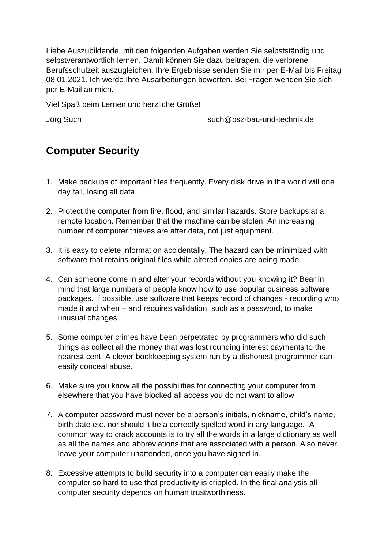Liebe Auszubildende, mit den folgenden Aufgaben werden Sie selbstständig und selbstverantwortlich lernen. Damit können Sie dazu beitragen, die verlorene Berufsschulzeit auszugleichen. Ihre Ergebnisse senden Sie mir per E-Mail bis Freitag 08.01.2021. Ich werde Ihre Ausarbeitungen bewerten. Bei Fragen wenden Sie sich per E-Mail an mich.

Viel Spaß beim Lernen und herzliche Grüße!

Jörg Such such@bsz-bau-und-technik.de

## **Computer Security**

- 1. Make backups of important files frequently. Every disk drive in the world will one day fail, losing all data.
- 2. Protect the computer from fire, flood, and similar hazards. Store backups at a remote location. Remember that the machine can be stolen. An increasing number of computer thieves are after data, not just equipment.
- 3. It is easy to delete information accidentally. The hazard can be minimized with software that retains original files while altered copies are being made.
- 4. Can someone come in and alter your records without you knowing it? Bear in mind that large numbers of people know how to use popular business software packages. If possible, use software that keeps record of changes - recording who made it and when – and requires validation, such as a password, to make unusual changes.
- 5. Some computer crimes have been perpetrated by programmers who did such things as collect all the money that was lost rounding interest payments to the nearest cent. A clever bookkeeping system run by a dishonest programmer can easily conceal abuse.
- 6. Make sure you know all the possibilities for connecting your computer from elsewhere that you have blocked all access you do not want to allow.
- 7. A computer password must never be a person's initials, nickname, child's name, birth date etc. nor should it be a correctly spelled word in any language. A common way to crack accounts is to try all the words in a large dictionary as well as all the names and abbreviations that are associated with a person. Also never leave your computer unattended, once you have signed in.
- 8. Excessive attempts to build security into a computer can easily make the computer so hard to use that productivity is crippled. In the final analysis all computer security depends on human trustworthiness.